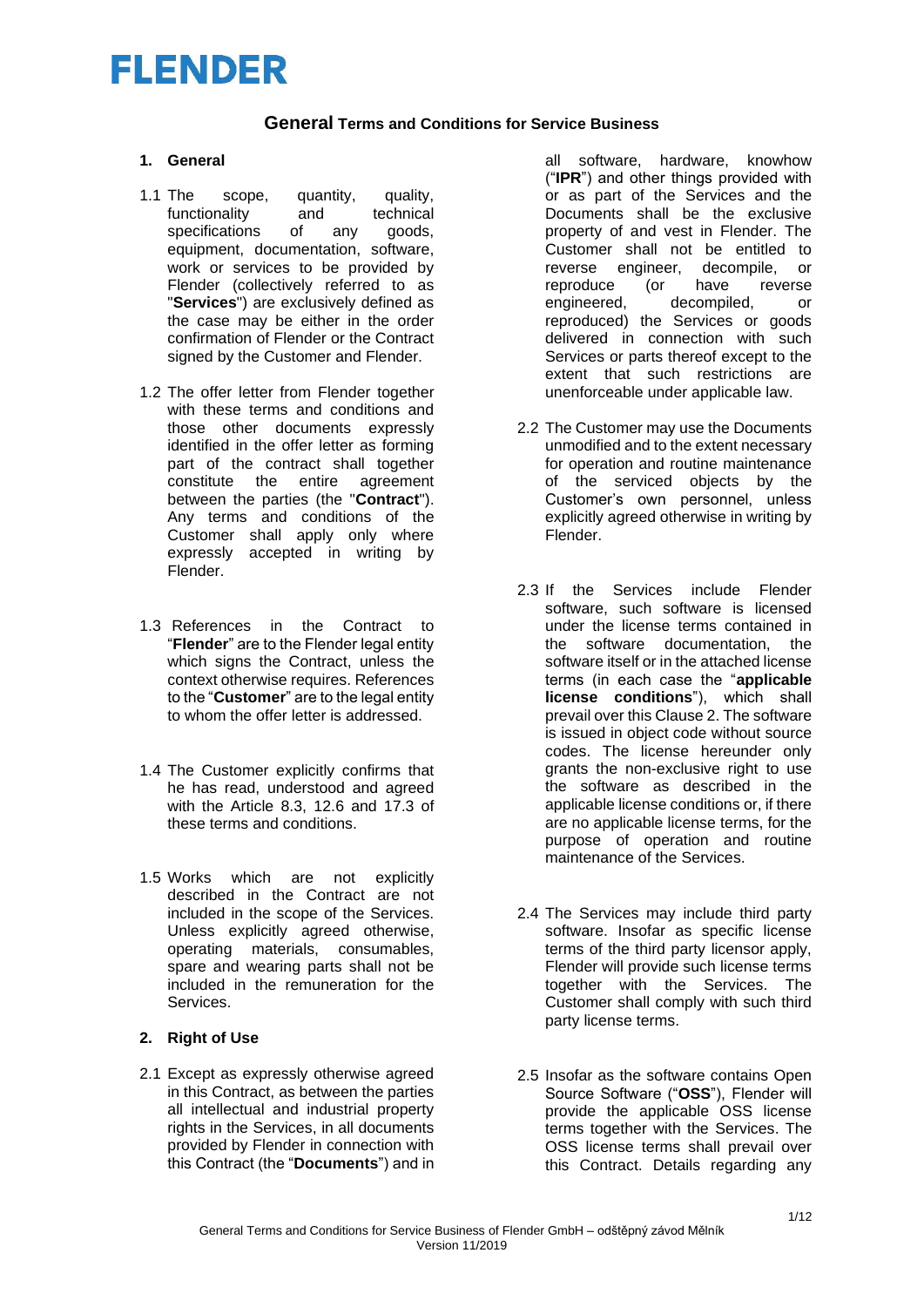#### **General Terms and Conditions for Service Business**

#### **1. General**

- 1.1 The scope, quantity, quality,<br>functionality and technical functionality and technical specifications of any goods, equipment, documentation, software, work or services to be provided by Flender (collectively referred to as "**Services**") are exclusively defined as the case may be either in the order confirmation of Flender or the Contract signed by the Customer and Flender.
- 1.2 The offer letter from Flender together with these terms and conditions and those other documents expressly identified in the offer letter as forming part of the contract shall together<br>constitute the entire agreement the entire agreement between the parties (the "**Contract**"). Any terms and conditions of the Customer shall apply only where expressly accepted in writing by Flender.
- 1.3 References in the Contract to "**Flender**" are to the Flender legal entity which signs the Contract, unless the context otherwise requires. References to the "**Customer**" are to the legal entity to whom the offer letter is addressed.
- 1.4 The Customer explicitly confirms that he has read, understood and agreed with the Article 8.3, 12.6 and 17.3 of these terms and conditions.
- 1.5 Works which are not explicitly described in the Contract are not included in the scope of the Services. Unless explicitly agreed otherwise, operating materials, consumables, spare and wearing parts shall not be included in the remuneration for the **Services**

### **2. Right of Use**

2.1 Except as expressly otherwise agreed in this Contract, as between the parties all intellectual and industrial property rights in the Services, in all documents provided by Flender in connection with this Contract (the "**Documents**") and in all software, hardware, knowhow ("**IPR**") and other things provided with or as part of the Services and the Documents shall be the exclusive property of and vest in Flender. The Customer shall not be entitled to reverse engineer, decompile, or reproduce (or have reverse engineered, decompiled, or reproduced) the Services or goods delivered in connection with such Services or parts thereof except to the extent that such restrictions are unenforceable under applicable law.

- 2.2 The Customer may use the Documents unmodified and to the extent necessary for operation and routine maintenance of the serviced objects by the Customer's own personnel, unless explicitly agreed otherwise in writing by Flender.
- 2.3 If the Services include Flender software, such software is licensed under the license terms contained in the software documentation, the software itself or in the attached license terms (in each case the "**applicable license conditions**"), which shall prevail over this Clause 2. The software is issued in object code without source codes. The license hereunder only grants the non-exclusive right to use the software as described in the applicable license conditions or, if there are no applicable license terms, for the purpose of operation and routine maintenance of the Services.
- 2.4 The Services may include third party software. Insofar as specific license terms of the third party licensor apply, Flender will provide such license terms together with the Services. The Customer shall comply with such third party license terms.
- 2.5 Insofar as the software contains Open Source Software ("**OSS**"), Flender will provide the applicable OSS license terms together with the Services. The OSS license terms shall prevail over this Contract. Details regarding any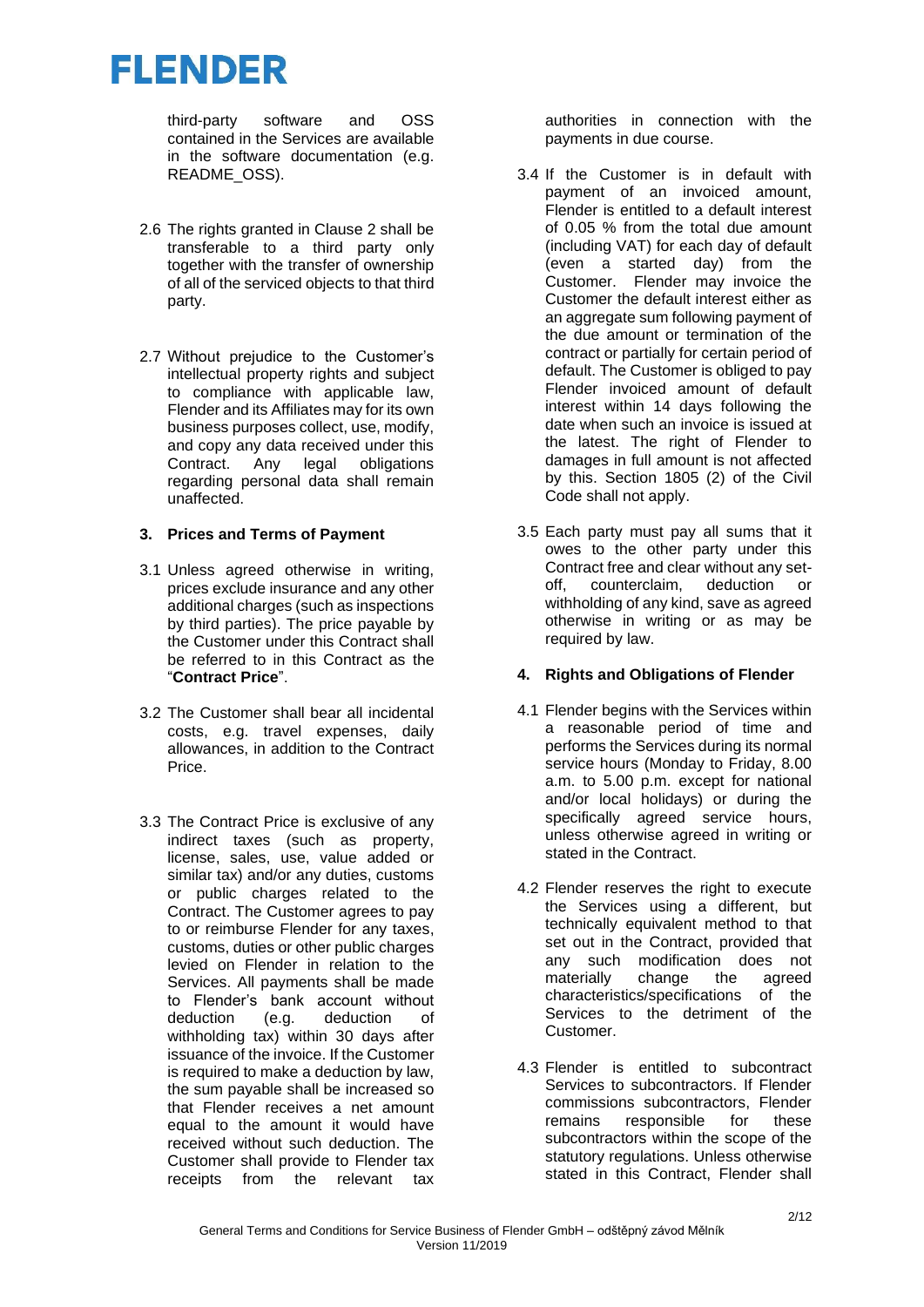third-party software and OSS contained in the Services are available in the software documentation (e.g. README\_OSS).

- 2.6 The rights granted in Clause 2 shall be transferable to a third party only together with the transfer of ownership of all of the serviced objects to that third party.
- 2.7 Without prejudice to the Customer's intellectual property rights and subject to compliance with applicable law, Flender and its Affiliates may for its own business purposes collect, use, modify, and copy any data received under this Contract. Any legal obligations regarding personal data shall remain unaffected.

#### **3. Prices and Terms of Payment**

- 3.1 Unless agreed otherwise in writing, prices exclude insurance and any other additional charges (such as inspections by third parties). The price payable by the Customer under this Contract shall be referred to in this Contract as the "**Contract Price**".
- 3.2 The Customer shall bear all incidental costs, e.g. travel expenses, daily allowances, in addition to the Contract Price.
- 3.3 The Contract Price is exclusive of any indirect taxes (such as property, license, sales, use, value added or similar tax) and/or any duties, customs or public charges related to the Contract. The Customer agrees to pay to or reimburse Flender for any taxes, customs, duties or other public charges levied on Flender in relation to the Services. All payments shall be made to Flender's bank account without deduction (e.g. deduction of withholding tax) within 30 days after issuance of the invoice. If the Customer is required to make a deduction by law, the sum payable shall be increased so that Flender receives a net amount equal to the amount it would have received without such deduction. The Customer shall provide to Flender tax receipts from the relevant tax

authorities in connection with the payments in due course.

- 3.4 If the Customer is in default with payment of an invoiced amount, Flender is entitled to a default interest of 0.05 % from the total due amount (including VAT) for each day of default (even a started day) from the Customer. Flender may invoice the Customer the default interest either as an aggregate sum following payment of the due amount or termination of the contract or partially for certain period of default. The Customer is obliged to pay Flender invoiced amount of default interest within 14 days following the date when such an invoice is issued at the latest. The right of Flender to damages in full amount is not affected by this. Section 1805 (2) of the Civil Code shall not apply.
- 3.5 Each party must pay all sums that it owes to the other party under this Contract free and clear without any set-<br>off. counterclaim. deduction or off, counterclaim, deduction or withholding of any kind, save as agreed otherwise in writing or as may be required by law.

### **4. Rights and Obligations of Flender**

- 4.1 Flender begins with the Services within a reasonable period of time and performs the Services during its normal service hours (Monday to Friday, 8.00 a.m. to 5.00 p.m. except for national and/or local holidays) or during the specifically agreed service hours, unless otherwise agreed in writing or stated in the Contract.
- 4.2 Flender reserves the right to execute the Services using a different, but technically equivalent method to that set out in the Contract, provided that any such modification does not<br>materially change the agreed materially characteristics/specifications of the Services to the detriment of the **Customer**
- 4.3 Flender is entitled to subcontract Services to subcontractors. If Flender commissions subcontractors, Flender remains responsible for these subcontractors within the scope of the statutory regulations. Unless otherwise stated in this Contract, Flender shall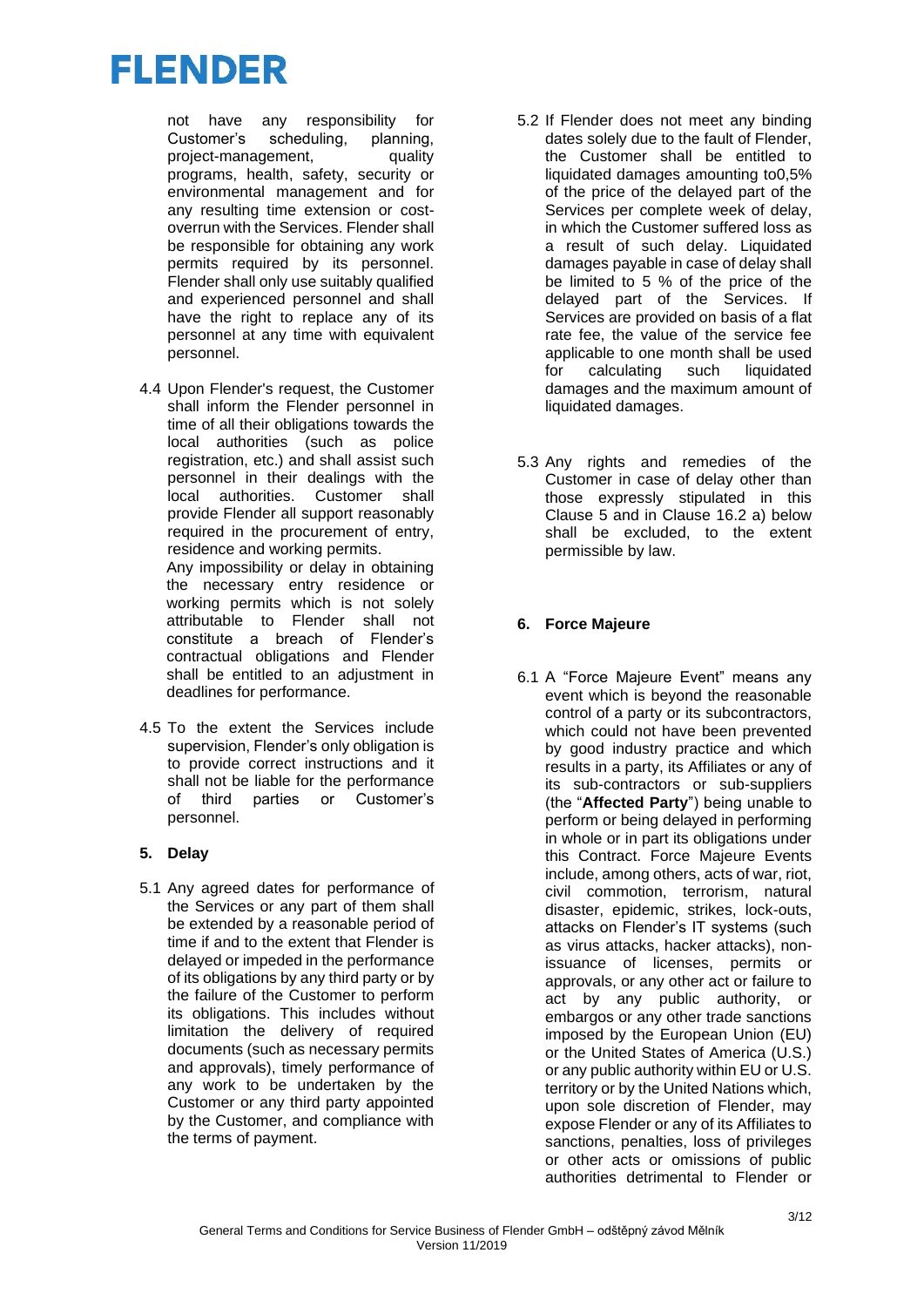not have any responsibility for Customer's scheduling, planning, project-management, quality programs, health, safety, security or environmental management and for any resulting time extension or costoverrun with the Services. Flender shall be responsible for obtaining any work permits required by its personnel. Flender shall only use suitably qualified and experienced personnel and shall have the right to replace any of its personnel at any time with equivalent personnel.

4.4 Upon Flender's request, the Customer shall inform the Flender personnel in time of all their obligations towards the local authorities (such as police registration, etc.) and shall assist such personnel in their dealings with the local authorities. Customer shall provide Flender all support reasonably required in the procurement of entry, residence and working permits. Any impossibility or delay in obtaining the necessary entry residence or

working permits which is not solely attributable to Flender shall not constitute a breach of Flender's contractual obligations and Flender shall be entitled to an adjustment in deadlines for performance.

4.5 To the extent the Services include supervision, Flender's only obligation is to provide correct instructions and it shall not be liable for the performance of third parties or Customer's personnel.

### **5. Delay**

5.1 Any agreed dates for performance of the Services or any part of them shall be extended by a reasonable period of time if and to the extent that Flender is delayed or impeded in the performance of its obligations by any third party or by the failure of the Customer to perform its obligations. This includes without limitation the delivery of required documents (such as necessary permits and approvals), timely performance of any work to be undertaken by the Customer or any third party appointed by the Customer, and compliance with the terms of payment.

- 5.2 If Flender does not meet any binding dates solely due to the fault of Flender, the Customer shall be entitled to liquidated damages amounting to0,5% of the price of the delayed part of the Services per complete week of delay, in which the Customer suffered loss as a result of such delay. Liquidated damages payable in case of delay shall be limited to 5 % of the price of the delayed part of the Services. If Services are provided on basis of a flat rate fee, the value of the service fee applicable to one month shall be used for calculating such liquidated damages and the maximum amount of liquidated damages.
- 5.3 Any rights and remedies of the Customer in case of delay other than those expressly stipulated in this Clause 5 and in Clause 16.2 a) below shall be excluded, to the extent permissible by law.

### **6. Force Majeure**

6.1 A "Force Majeure Event" means any event which is beyond the reasonable control of a party or its subcontractors, which could not have been prevented by good industry practice and which results in a party, its Affiliates or any of its sub-contractors or sub-suppliers (the "**Affected Party**") being unable to perform or being delayed in performing in whole or in part its obligations under this Contract. Force Majeure Events include, among others, acts of war, riot, civil commotion, terrorism, natural disaster, epidemic, strikes, lock-outs, attacks on Flender's IT systems (such as virus attacks, hacker attacks), nonissuance of licenses, permits or approvals, or any other act or failure to act by any public authority, or embargos or any other trade sanctions imposed by the European Union (EU) or the United States of America (U.S.) or any public authority within EU or U.S. territory or by the United Nations which, upon sole discretion of Flender, may expose Flender or any of its Affiliates to sanctions, penalties, loss of privileges or other acts or omissions of public authorities detrimental to Flender or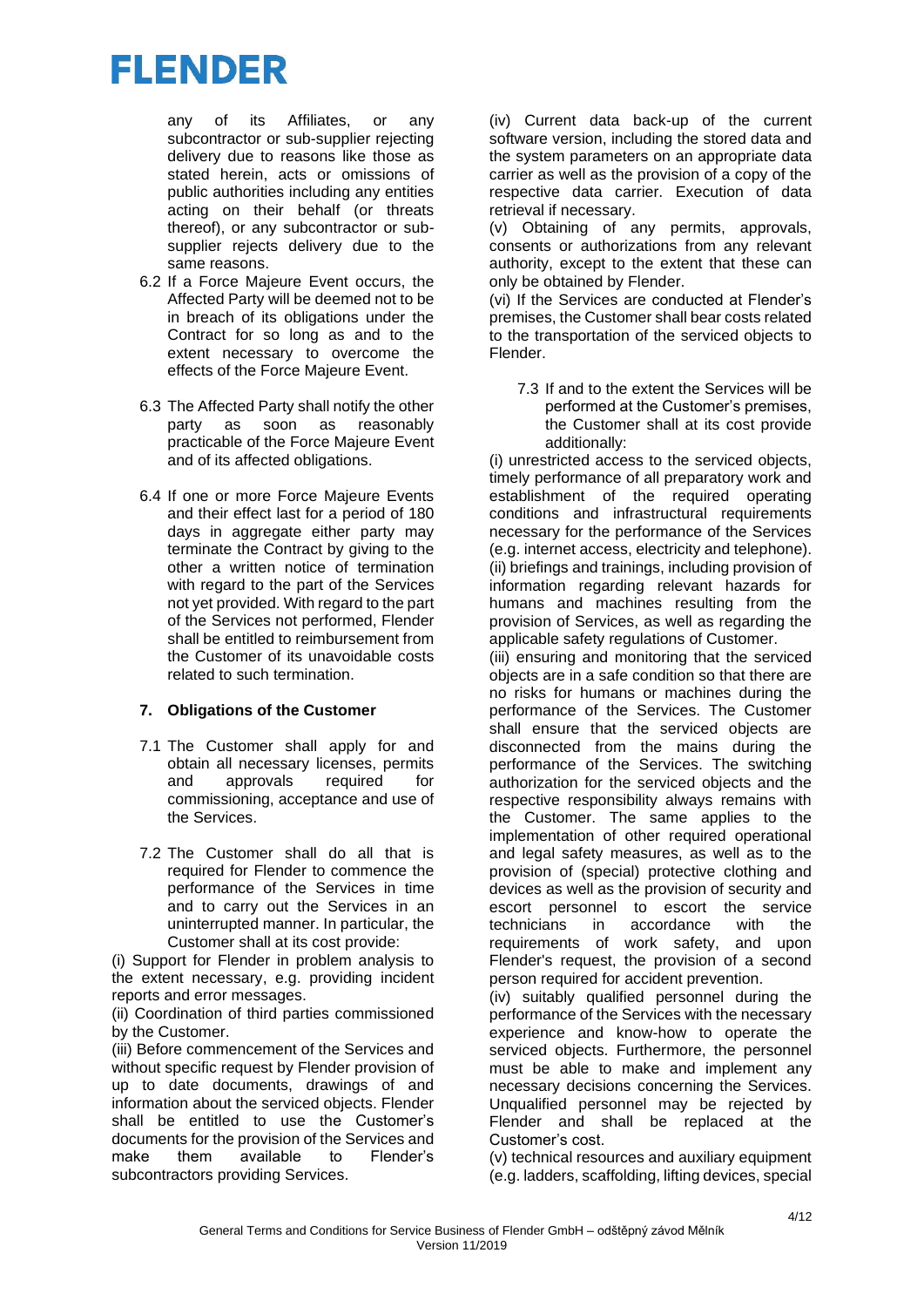any of its Affiliates, or any subcontractor or sub-supplier rejecting delivery due to reasons like those as stated herein, acts or omissions of public authorities including any entities acting on their behalf (or threats thereof), or any subcontractor or subsupplier rejects delivery due to the same reasons.

- 6.2 If a Force Majeure Event occurs, the Affected Party will be deemed not to be in breach of its obligations under the Contract for so long as and to the extent necessary to overcome the effects of the Force Majeure Event.
- 6.3 The Affected Party shall notify the other party as soon as reasonably practicable of the Force Majeure Event and of its affected obligations.
- 6.4 If one or more Force Majeure Events and their effect last for a period of 180 days in aggregate either party may terminate the Contract by giving to the other a written notice of termination with regard to the part of the Services not yet provided. With regard to the part of the Services not performed, Flender shall be entitled to reimbursement from the Customer of its unavoidable costs related to such termination.

#### **7. Obligations of the Customer**

- 7.1 The Customer shall apply for and obtain all necessary licenses, permits and approvals required for commissioning, acceptance and use of the Services.
- 7.2 The Customer shall do all that is required for Flender to commence the performance of the Services in time and to carry out the Services in an uninterrupted manner. In particular, the Customer shall at its cost provide:

(i) Support for Flender in problem analysis to the extent necessary, e.g. providing incident reports and error messages.

(ii) Coordination of third parties commissioned by the Customer.

(iii) Before commencement of the Services and without specific request by Flender provision of up to date documents, drawings of and information about the serviced objects. Flender shall be entitled to use the Customer's documents for the provision of the Services and make them available to Flender's subcontractors providing Services.

(iv) Current data back-up of the current software version, including the stored data and the system parameters on an appropriate data carrier as well as the provision of a copy of the respective data carrier. Execution of data retrieval if necessary.

(v) Obtaining of any permits, approvals, consents or authorizations from any relevant authority, except to the extent that these can only be obtained by Flender.

(vi) If the Services are conducted at Flender's premises, the Customer shall bear costs related to the transportation of the serviced objects to Flender.

7.3 If and to the extent the Services will be performed at the Customer's premises, the Customer shall at its cost provide additionally:

(i) unrestricted access to the serviced objects, timely performance of all preparatory work and establishment of the required operating conditions and infrastructural requirements necessary for the performance of the Services (e.g. internet access, electricity and telephone). (ii) briefings and trainings, including provision of information regarding relevant hazards for humans and machines resulting from the provision of Services, as well as regarding the applicable safety regulations of Customer.

(iii) ensuring and monitoring that the serviced objects are in a safe condition so that there are no risks for humans or machines during the performance of the Services. The Customer shall ensure that the serviced objects are disconnected from the mains during the performance of the Services. The switching authorization for the serviced objects and the respective responsibility always remains with the Customer. The same applies to the implementation of other required operational and legal safety measures, as well as to the provision of (special) protective clothing and devices as well as the provision of security and escort personnel to escort the service technicians in accordance with the requirements of work safety, and upon Flender's request, the provision of a second person required for accident prevention.

(iv) suitably qualified personnel during the performance of the Services with the necessary experience and know-how to operate the serviced objects. Furthermore, the personnel must be able to make and implement any necessary decisions concerning the Services. Unqualified personnel may be rejected by Flender and shall be replaced at the Customer's cost.

(v) technical resources and auxiliary equipment (e.g. ladders, scaffolding, lifting devices, special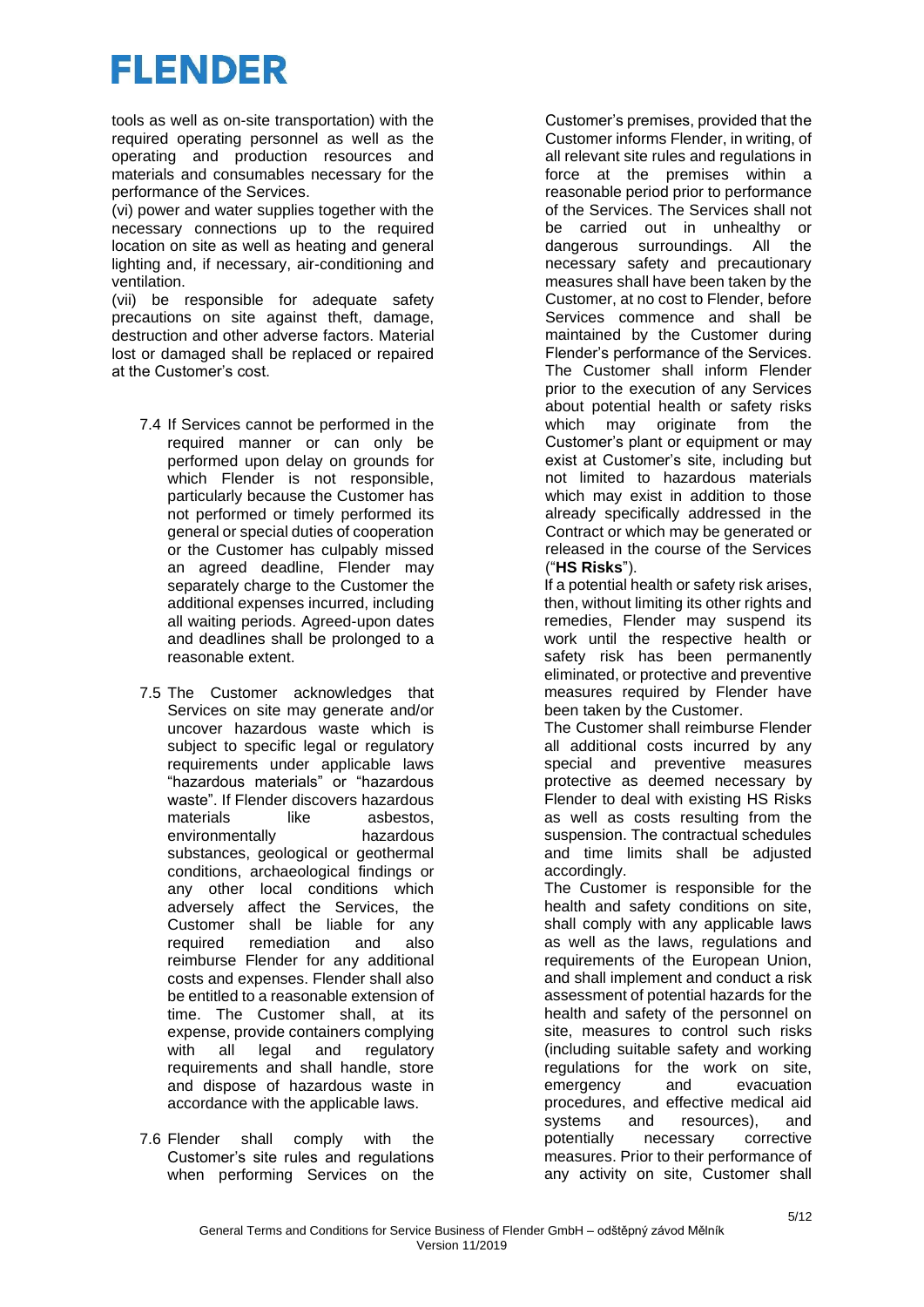tools as well as on-site transportation) with the required operating personnel as well as the operating and production resources and materials and consumables necessary for the performance of the Services.

(vi) power and water supplies together with the necessary connections up to the required location on site as well as heating and general lighting and, if necessary, air-conditioning and ventilation.

(vii) be responsible for adequate safety precautions on site against theft, damage, destruction and other adverse factors. Material lost or damaged shall be replaced or repaired at the Customer's cost.

- 7.4 If Services cannot be performed in the required manner or can only be performed upon delay on grounds for which Flender is not responsible, particularly because the Customer has not performed or timely performed its general or special duties of cooperation or the Customer has culpably missed an agreed deadline, Flender may separately charge to the Customer the additional expenses incurred, including all waiting periods. Agreed-upon dates and deadlines shall be prolonged to a reasonable extent.
- 7.5 The Customer acknowledges that Services on site may generate and/or uncover hazardous waste which is subject to specific legal or regulatory requirements under applicable laws "hazardous materials" or "hazardous waste". If Flender discovers hazardous materials like asbestos environmentally hazardous substances, geological or geothermal conditions, archaeological findings or any other local conditions which adversely affect the Services, the Customer shall be liable for any required remediation and also reimburse Flender for any additional costs and expenses. Flender shall also be entitled to a reasonable extension of time. The Customer shall, at its expense, provide containers complying with all legal and regulatory requirements and shall handle, store and dispose of hazardous waste in accordance with the applicable laws.
- 7.6 Flender shall comply with the Customer's site rules and regulations when performing Services on the

Customer's premises, provided that the Customer informs Flender, in writing, of all relevant site rules and regulations in force at the premises within a reasonable period prior to performance of the Services. The Services shall not be carried out in unhealthy or dangerous surroundings. All the necessary safety and precautionary measures shall have been taken by the Customer, at no cost to Flender, before Services commence and shall be maintained by the Customer during Flender's performance of the Services. The Customer shall inform Flender prior to the execution of any Services about potential health or safety risks which may originate from the Customer's plant or equipment or may exist at Customer's site, including but not limited to hazardous materials which may exist in addition to those already specifically addressed in the Contract or which may be generated or released in the course of the Services ("**HS Risks**").

If a potential health or safety risk arises, then, without limiting its other rights and remedies, Flender may suspend its work until the respective health or safety risk has been permanently eliminated, or protective and preventive measures required by Flender have been taken by the Customer.

The Customer shall reimburse Flender all additional costs incurred by any special and preventive measures protective as deemed necessary by Flender to deal with existing HS Risks as well as costs resulting from the suspension. The contractual schedules and time limits shall be adjusted accordingly.

The Customer is responsible for the health and safety conditions on site, shall comply with any applicable laws as well as the laws, regulations and requirements of the European Union, and shall implement and conduct a risk assessment of potential hazards for the health and safety of the personnel on site, measures to control such risks (including suitable safety and working regulations for the work on site, emergency and evacuation procedures, and effective medical aid systems and resources), and potentially necessary corrective measures. Prior to their performance of any activity on site, Customer shall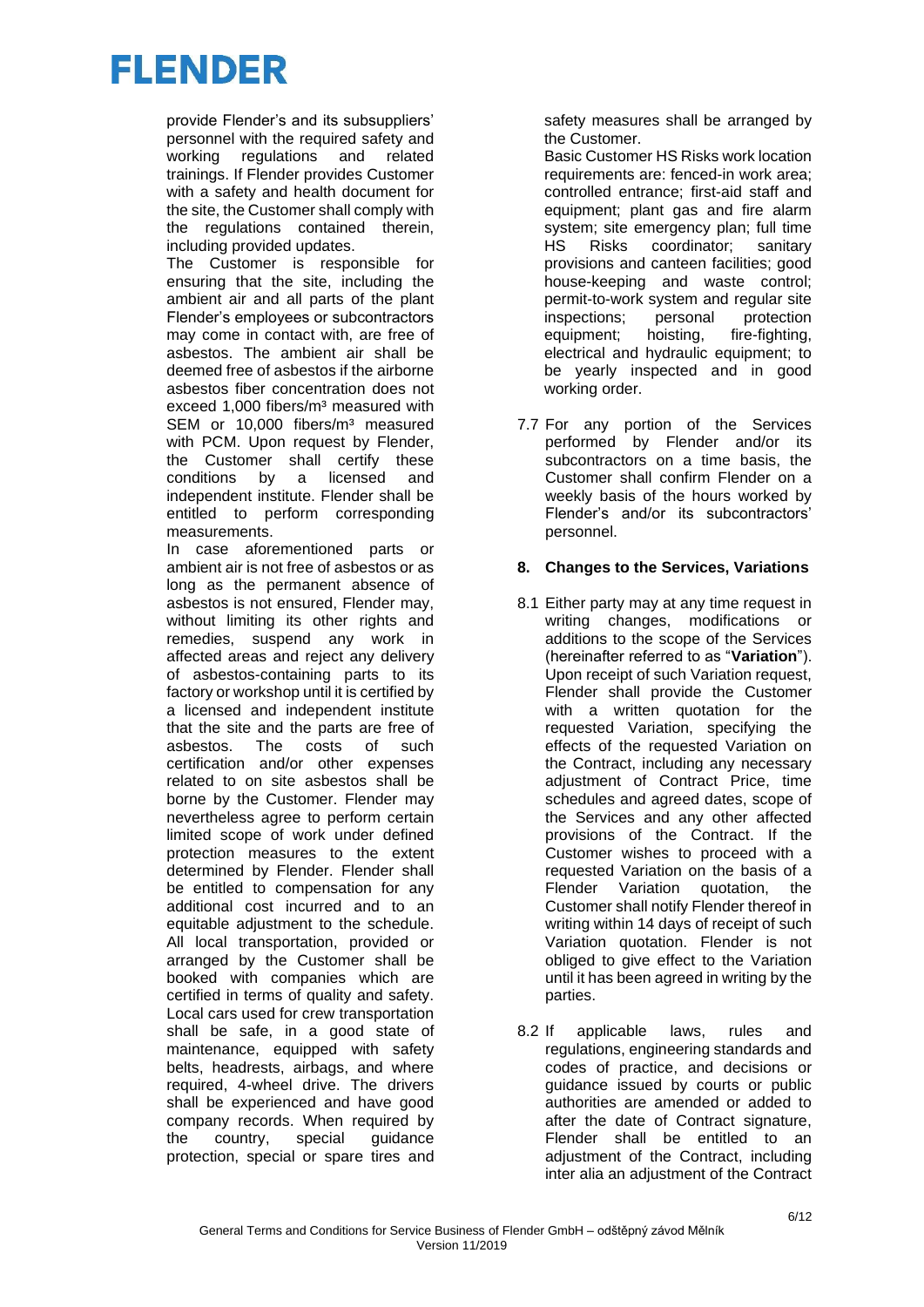provide Flender's and its subsuppliers' personnel with the required safety and working regulations and related trainings. If Flender provides Customer with a safety and health document for the site, the Customer shall comply with the regulations contained therein, including provided updates.

The Customer is responsible for ensuring that the site, including the ambient air and all parts of the plant Flender's employees or subcontractors may come in contact with, are free of asbestos. The ambient air shall be deemed free of asbestos if the airborne asbestos fiber concentration does not exceed 1,000 fibers/m<sup>3</sup> measured with SEM or 10,000 fibers/m<sup>3</sup> measured with PCM. Upon request by Flender, the Customer shall certify these conditions by a licensed and independent institute. Flender shall be entitled to perform corresponding measurements.

In case aforementioned parts or ambient air is not free of asbestos or as long as the permanent absence of asbestos is not ensured, Flender may, without limiting its other rights and remedies, suspend any work in affected areas and reject any delivery of asbestos-containing parts to its factory or workshop until it is certified by a licensed and independent institute that the site and the parts are free of asbestos. The costs of such certification and/or other expenses related to on site asbestos shall be borne by the Customer. Flender may nevertheless agree to perform certain limited scope of work under defined protection measures to the extent determined by Flender. Flender shall be entitled to compensation for any additional cost incurred and to an equitable adjustment to the schedule. All local transportation, provided or arranged by the Customer shall be booked with companies which are certified in terms of quality and safety. Local cars used for crew transportation shall be safe, in a good state of maintenance, equipped with safety belts, headrests, airbags, and where required, 4-wheel drive. The drivers shall be experienced and have good company records. When required by the country, special guidance protection, special or spare tires and safety measures shall be arranged by the Customer.

Basic Customer HS Risks work location requirements are: fenced-in work area; controlled entrance; first-aid staff and equipment; plant gas and fire alarm system; site emergency plan; full time<br>HS Risks coordinator: sanitary HS Risks coordinator; sanitary provisions and canteen facilities; good house-keeping and waste control; permit-to-work system and regular site inspections: personal protection equipment; hoisting, fire-fighting, electrical and hydraulic equipment; to be yearly inspected and in good working order.

7.7 For any portion of the Services performed by Flender and/or its subcontractors on a time basis, the Customer shall confirm Flender on a weekly basis of the hours worked by Flender's and/or its subcontractors' personnel.

#### **8. Changes to the Services, Variations**

- 8.1 Either party may at any time request in writing changes, modifications or additions to the scope of the Services (hereinafter referred to as "**Variation**"). Upon receipt of such Variation request, Flender shall provide the Customer with a written quotation for the requested Variation, specifying the effects of the requested Variation on the Contract, including any necessary adjustment of Contract Price, time schedules and agreed dates, scope of the Services and any other affected provisions of the Contract. If the Customer wishes to proceed with a requested Variation on the basis of a Flender Variation quotation, the Customer shall notify Flender thereof in writing within 14 days of receipt of such Variation quotation. Flender is not obliged to give effect to the Variation until it has been agreed in writing by the parties.
- 8.2 If applicable laws, rules and regulations, engineering standards and codes of practice, and decisions or guidance issued by courts or public authorities are amended or added to after the date of Contract signature, Flender shall be entitled to an adjustment of the Contract, including inter alia an adjustment of the Contract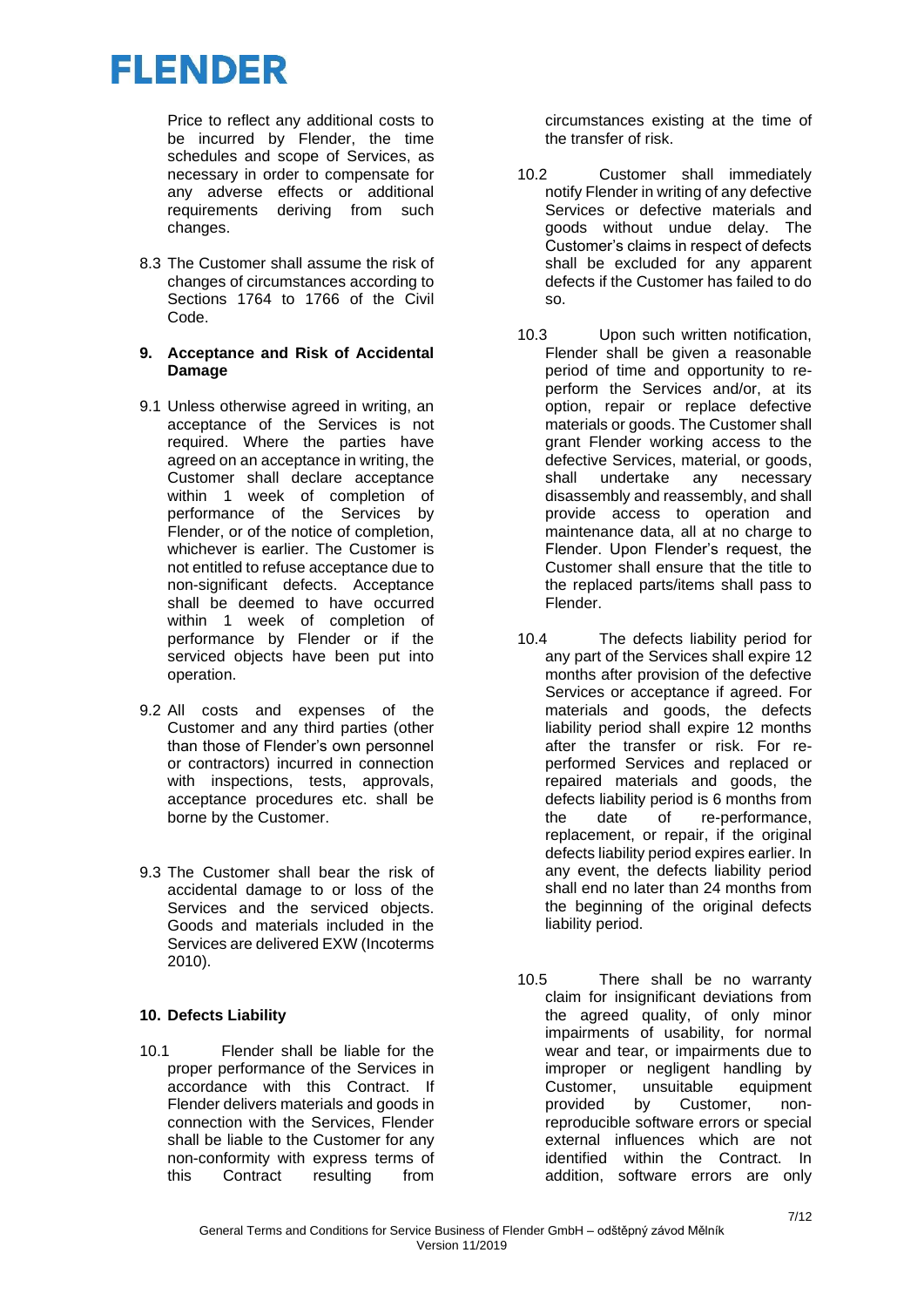Price to reflect any additional costs to be incurred by Flender, the time schedules and scope of Services, as necessary in order to compensate for any adverse effects or additional requirements deriving from such changes.

- 8.3 The Customer shall assume the risk of changes of circumstances according to Sections 1764 to 1766 of the Civil Code.
- **9. Acceptance and Risk of Accidental Damage**
- 9.1 Unless otherwise agreed in writing, an acceptance of the Services is not required. Where the parties have agreed on an acceptance in writing, the Customer shall declare acceptance within 1 week of completion of performance of the Services by Flender, or of the notice of completion, whichever is earlier. The Customer is not entitled to refuse acceptance due to non-significant defects. Acceptance shall be deemed to have occurred within 1 week of completion of performance by Flender or if the serviced objects have been put into operation.
- 9.2 All costs and expenses of the Customer and any third parties (other than those of Flender's own personnel or contractors) incurred in connection with inspections, tests, approvals, acceptance procedures etc. shall be borne by the Customer.
- 9.3 The Customer shall bear the risk of accidental damage to or loss of the Services and the serviced objects. Goods and materials included in the Services are delivered EXW (Incoterms 2010).

#### **10. Defects Liability**

10.1 Flender shall be liable for the proper performance of the Services in accordance with this Contract. If Flender delivers materials and goods in connection with the Services, Flender shall be liable to the Customer for any non-conformity with express terms of this Contract resulting from circumstances existing at the time of the transfer of risk.

- 10.2 Customer shall immediately notify Flender in writing of any defective Services or defective materials and goods without undue delay. The Customer's claims in respect of defects shall be excluded for any apparent defects if the Customer has failed to do so.
- 10.3 Upon such written notification, Flender shall be given a reasonable period of time and opportunity to reperform the Services and/or, at its option, repair or replace defective materials or goods. The Customer shall grant Flender working access to the defective Services, material, or goods,<br>shall undertake any necessary undertake any necessary disassembly and reassembly, and shall provide access to operation and maintenance data, all at no charge to Flender. Upon Flender's request, the Customer shall ensure that the title to the replaced parts/items shall pass to Flender.
- 10.4 The defects liability period for any part of the Services shall expire 12 months after provision of the defective Services or acceptance if agreed. For materials and goods, the defects liability period shall expire 12 months after the transfer or risk. For reperformed Services and replaced or repaired materials and goods, the defects liability period is 6 months from the date of re-performance, replacement, or repair, if the original defects liability period expires earlier. In any event, the defects liability period shall end no later than 24 months from the beginning of the original defects liability period.
- 10.5 There shall be no warranty claim for insignificant deviations from the agreed quality, of only minor impairments of usability, for normal wear and tear, or impairments due to improper or negligent handling by Customer, unsuitable equipment provided by Customer, nonreproducible software errors or special external influences which are not identified within the Contract. In addition, software errors are only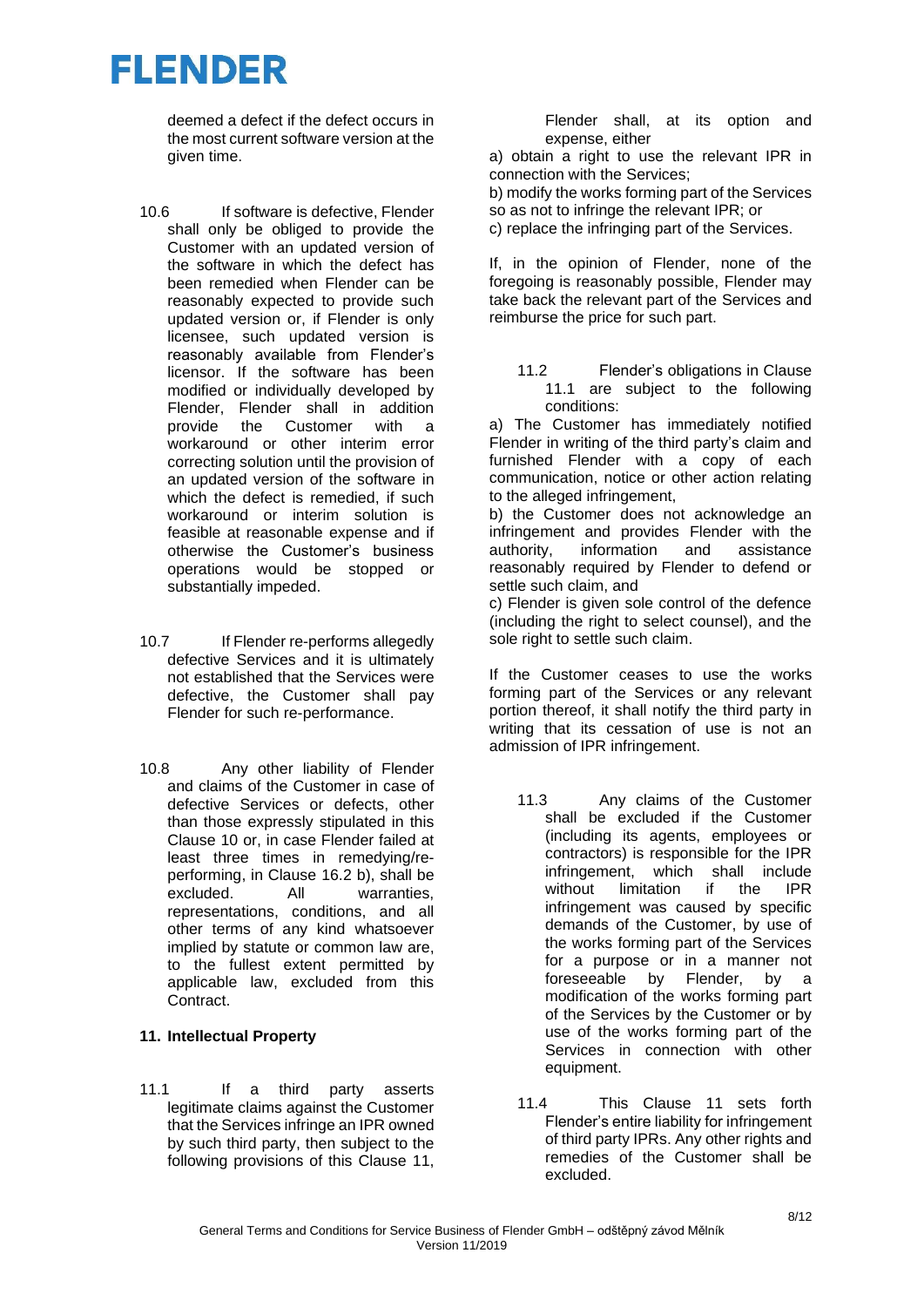deemed a defect if the defect occurs in the most current software version at the given time.

- 10.6 If software is defective, Flender shall only be obliged to provide the Customer with an updated version of the software in which the defect has been remedied when Flender can be reasonably expected to provide such updated version or, if Flender is only licensee, such updated version is reasonably available from Flender's licensor. If the software has been modified or individually developed by Flender, Flender shall in addition provide the Customer with a workaround or other interim error correcting solution until the provision of an updated version of the software in which the defect is remedied, if such workaround or interim solution is feasible at reasonable expense and if otherwise the Customer's business operations would be stopped or substantially impeded.
- 10.7 If Flender re-performs allegedly defective Services and it is ultimately not established that the Services were defective, the Customer shall pay Flender for such re-performance.
- 10.8 Any other liability of Flender and claims of the Customer in case of defective Services or defects, other than those expressly stipulated in this Clause 10 or, in case Flender failed at least three times in remedying/reperforming, in Clause 16.2 b), shall be excluded. All warranties, representations, conditions, and all other terms of any kind whatsoever implied by statute or common law are, to the fullest extent permitted by applicable law, excluded from this Contract.

### **11. Intellectual Property**

11.1 If a third party asserts legitimate claims against the Customer that the Services infringe an IPR owned by such third party, then subject to the following provisions of this Clause 11, Flender shall, at its option and expense, either

a) obtain a right to use the relevant IPR in connection with the Services;

b) modify the works forming part of the Services so as not to infringe the relevant IPR; or

c) replace the infringing part of the Services.

If, in the opinion of Flender, none of the foregoing is reasonably possible, Flender may take back the relevant part of the Services and reimburse the price for such part.

11.2 Flender's obligations in Clause 11.1 are subject to the following conditions:

a) The Customer has immediately notified Flender in writing of the third party's claim and furnished Flender with a copy of each communication, notice or other action relating to the alleged infringement,

b) the Customer does not acknowledge an infringement and provides Flender with the authority, information and assistance reasonably required by Flender to defend or settle such claim, and

c) Flender is given sole control of the defence (including the right to select counsel), and the sole right to settle such claim.

If the Customer ceases to use the works forming part of the Services or any relevant portion thereof, it shall notify the third party in writing that its cessation of use is not an admission of IPR infringement.

- 11.3 Any claims of the Customer shall be excluded if the Customer (including its agents, employees or contractors) is responsible for the IPR infringement, which shall include without limitation if the IPR infringement was caused by specific demands of the Customer, by use of the works forming part of the Services for a purpose or in a manner not foreseeable by Flender, by a modification of the works forming part of the Services by the Customer or by use of the works forming part of the Services in connection with other equipment.
- 11.4 This Clause 11 sets forth Flender's entire liability for infringement of third party IPRs. Any other rights and remedies of the Customer shall be excluded.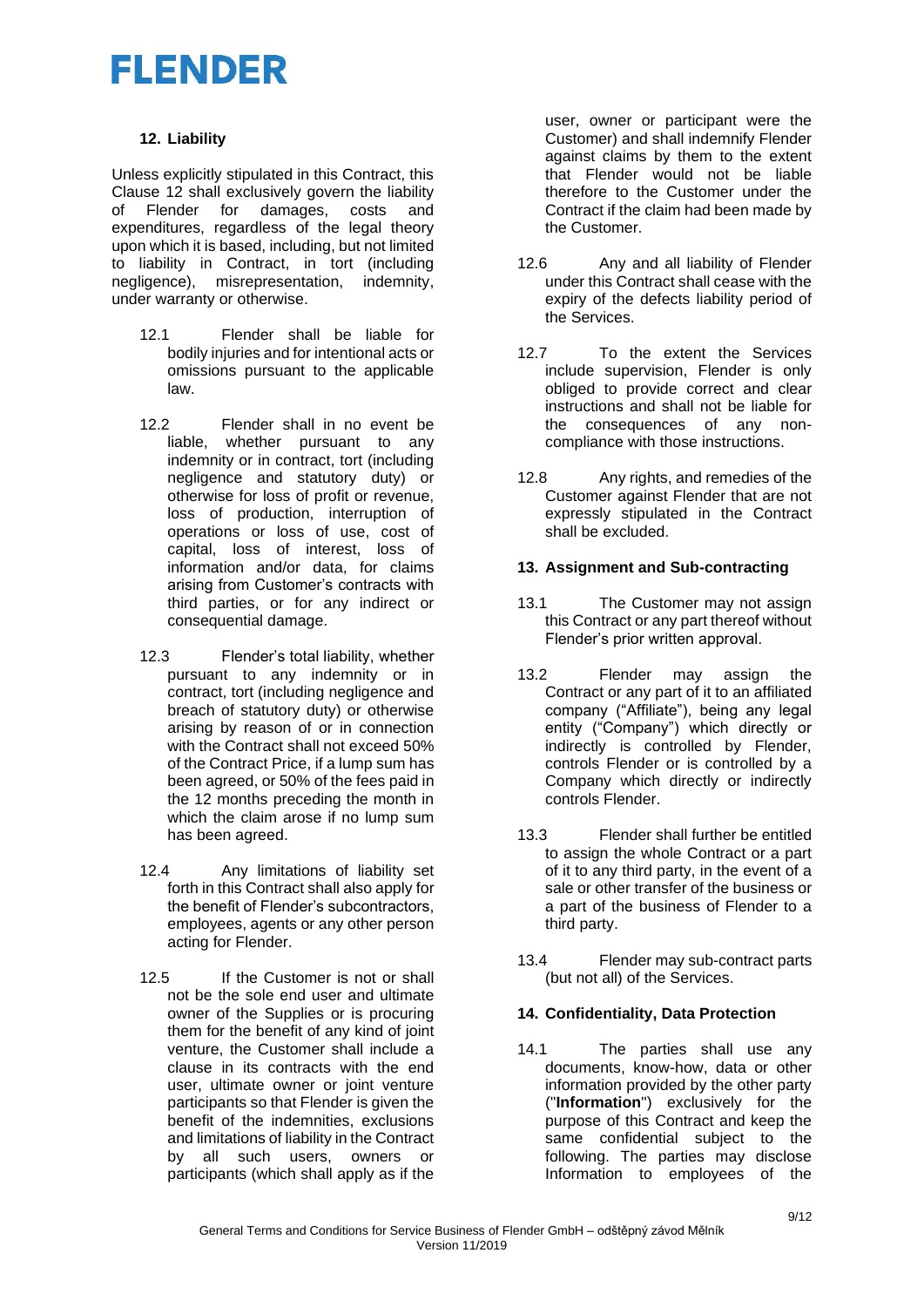#### **12. Liability**

Unless explicitly stipulated in this Contract, this Clause 12 shall exclusively govern the liability of Flender for damages, costs and expenditures, regardless of the legal theory upon which it is based, including, but not limited to liability in Contract, in tort (including negligence), misrepresentation, indemnity, under warranty or otherwise.

- 12.1 Flender shall be liable for bodily injuries and for intentional acts or omissions pursuant to the applicable law.
- 12.2 Flender shall in no event be liable, whether pursuant to any indemnity or in contract, tort (including negligence and statutory duty) or otherwise for loss of profit or revenue, loss of production, interruption of operations or loss of use, cost of capital, loss of interest, loss of information and/or data, for claims arising from Customer's contracts with third parties, or for any indirect or consequential damage.
- 12.3 Flender's total liability, whether pursuant to any indemnity or in contract, tort (including negligence and breach of statutory duty) or otherwise arising by reason of or in connection with the Contract shall not exceed 50% of the Contract Price, if a lump sum has been agreed, or 50% of the fees paid in the 12 months preceding the month in which the claim arose if no lump sum has been agreed.
- 12.4 Any limitations of liability set forth in this Contract shall also apply for the benefit of Flender's subcontractors, employees, agents or any other person acting for Flender.
- 12.5 If the Customer is not or shall not be the sole end user and ultimate owner of the Supplies or is procuring them for the benefit of any kind of joint venture, the Customer shall include a clause in its contracts with the end user, ultimate owner or joint venture participants so that Flender is given the benefit of the indemnities, exclusions and limitations of liability in the Contract by all such users, owners or participants (which shall apply as if the

user, owner or participant were the Customer) and shall indemnify Flender against claims by them to the extent that Flender would not be liable therefore to the Customer under the Contract if the claim had been made by the Customer.

- 12.6 Any and all liability of Flender under this Contract shall cease with the expiry of the defects liability period of the Services.
- 12.7 To the extent the Services include supervision, Flender is only obliged to provide correct and clear instructions and shall not be liable for the consequences of any noncompliance with those instructions.
- 12.8 Any rights, and remedies of the Customer against Flender that are not expressly stipulated in the Contract shall be excluded.

#### **13. Assignment and Sub-contracting**

- 13.1 The Customer may not assign this Contract or any part thereof without Flender's prior written approval.
- 13.2 Flender may assign the Contract or any part of it to an affiliated company ("Affiliate"), being any legal entity ("Company") which directly or indirectly is controlled by Flender, controls Flender or is controlled by a Company which directly or indirectly controls Flender.
- 13.3 Flender shall further be entitled to assign the whole Contract or a part of it to any third party, in the event of a sale or other transfer of the business or a part of the business of Flender to a third party.
- 13.4 Flender may sub-contract parts (but not all) of the Services.

### **14. Confidentiality, Data Protection**

14.1 The parties shall use any documents, know-how, data or other information provided by the other party ("**Information**") exclusively for the purpose of this Contract and keep the same confidential subject to the following. The parties may disclose Information to employees of the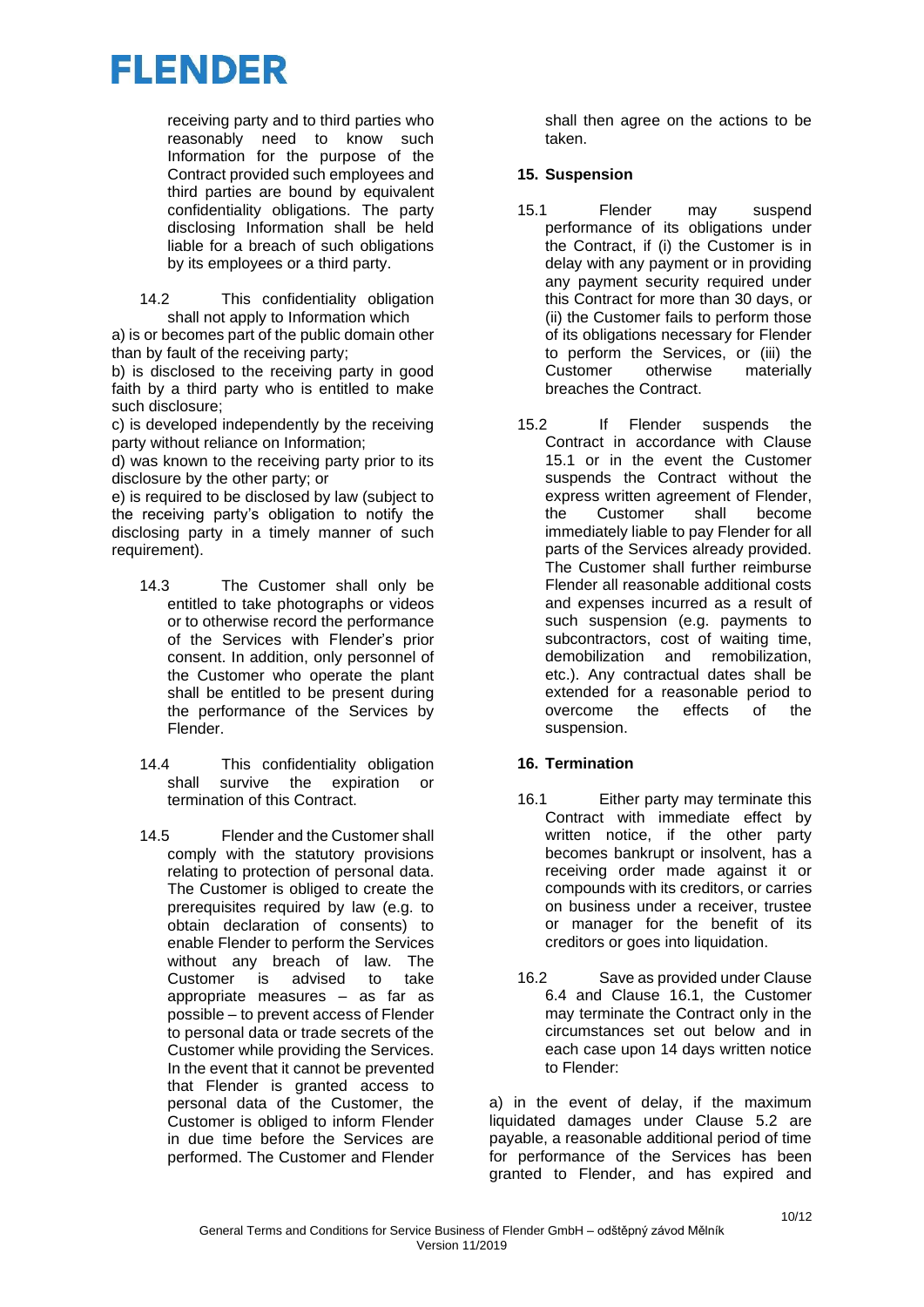receiving party and to third parties who reasonably need to know such Information for the purpose of the Contract provided such employees and third parties are bound by equivalent confidentiality obligations. The party disclosing Information shall be held liable for a breach of such obligations by its employees or a third party.

14.2 This confidentiality obligation shall not apply to Information which

a) is or becomes part of the public domain other than by fault of the receiving party;

b) is disclosed to the receiving party in good faith by a third party who is entitled to make such disclosure;

c) is developed independently by the receiving party without reliance on Information;

d) was known to the receiving party prior to its disclosure by the other party; or

e) is required to be disclosed by law (subject to the receiving party's obligation to notify the disclosing party in a timely manner of such requirement).

- 14.3 The Customer shall only be entitled to take photographs or videos or to otherwise record the performance of the Services with Flender's prior consent. In addition, only personnel of the Customer who operate the plant shall be entitled to be present during the performance of the Services by Flender.
- 14.4 This confidentiality obligation shall survive the expiration or termination of this Contract.
- 14.5 Flender and the Customer shall comply with the statutory provisions relating to protection of personal data. The Customer is obliged to create the prerequisites required by law (e.g. to obtain declaration of consents) to enable Flender to perform the Services without any breach of law. The Customer is advised to take appropriate measures – as far as possible – to prevent access of Flender to personal data or trade secrets of the Customer while providing the Services. In the event that it cannot be prevented that Flender is granted access to personal data of the Customer, the Customer is obliged to inform Flender in due time before the Services are performed. The Customer and Flender

shall then agree on the actions to be taken.

#### **15. Suspension**

- 15.1 Flender may suspend performance of its obligations under the Contract, if (i) the Customer is in delay with any payment or in providing any payment security required under this Contract for more than 30 days, or (ii) the Customer fails to perform those of its obligations necessary for Flender to perform the Services, or (iii) the Customer otherwise materially breaches the Contract.
- 15.2 If Flender suspends the Contract in accordance with Clause 15.1 or in the event the Customer suspends the Contract without the express written agreement of Flender, the Customer shall become immediately liable to pay Flender for all parts of the Services already provided. The Customer shall further reimburse Flender all reasonable additional costs and expenses incurred as a result of such suspension (e.g. payments to subcontractors, cost of waiting time, demobilization and remobilization, etc.). Any contractual dates shall be extended for a reasonable period to overcome the effects of the suspension.

### **16. Termination**

- 16.1 Either party may terminate this Contract with immediate effect by written notice, if the other party becomes bankrupt or insolvent, has a receiving order made against it or compounds with its creditors, or carries on business under a receiver, trustee or manager for the benefit of its creditors or goes into liquidation.
- 16.2 Save as provided under Clause 6.4 and Clause 16.1, the Customer may terminate the Contract only in the circumstances set out below and in each case upon 14 days written notice to Flender:

a) in the event of delay, if the maximum liquidated damages under Clause 5.2 are payable, a reasonable additional period of time for performance of the Services has been granted to Flender, and has expired and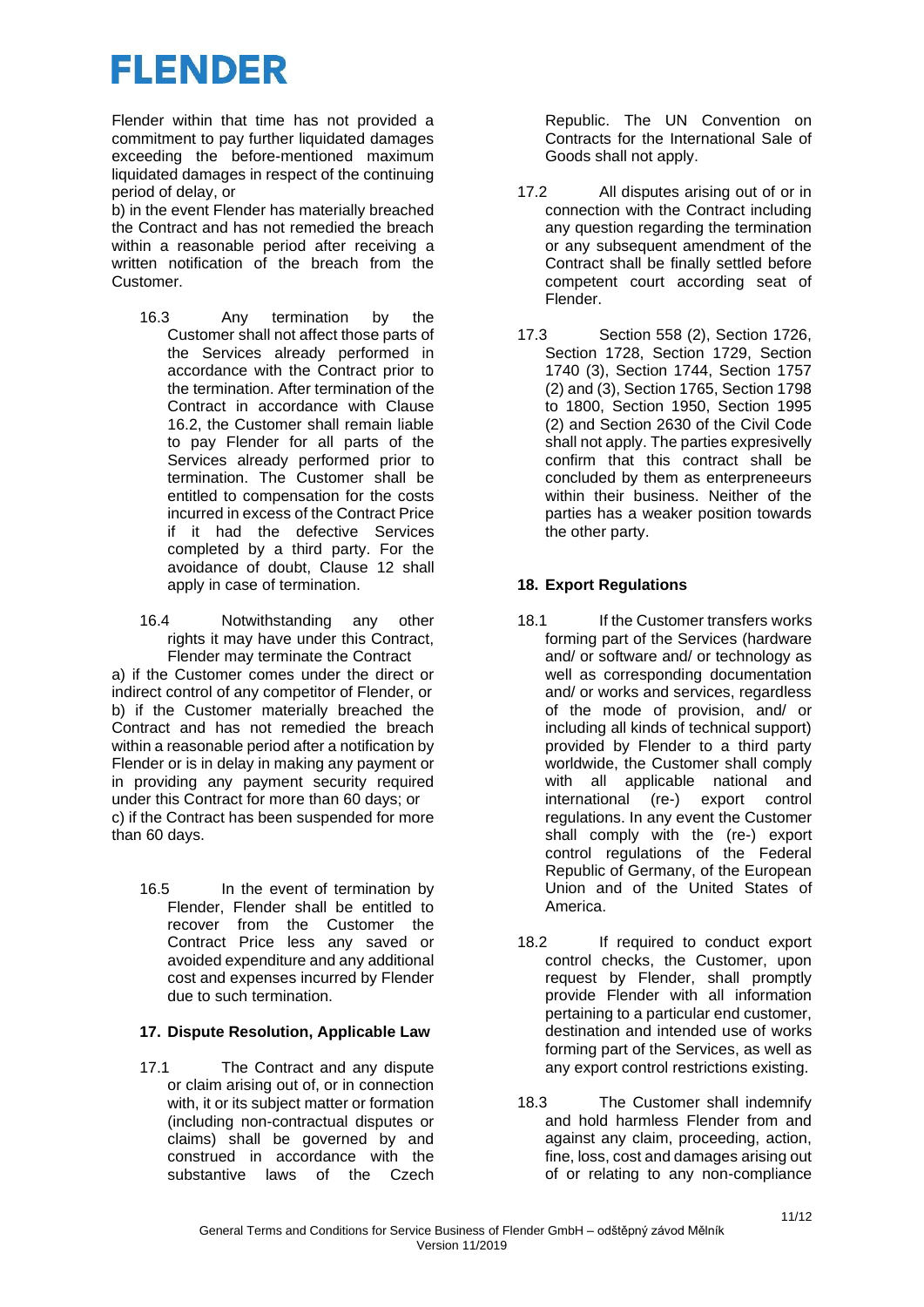Flender within that time has not provided a commitment to pay further liquidated damages exceeding the before-mentioned maximum liquidated damages in respect of the continuing period of delay, or

b) in the event Flender has materially breached the Contract and has not remedied the breach within a reasonable period after receiving a written notification of the breach from the Customer.

- 16.3 Any termination by the Customer shall not affect those parts of the Services already performed in accordance with the Contract prior to the termination. After termination of the Contract in accordance with Clause 16.2, the Customer shall remain liable to pay Flender for all parts of the Services already performed prior to termination. The Customer shall be entitled to compensation for the costs incurred in excess of the Contract Price if it had the defective Services completed by a third party. For the avoidance of doubt, Clause 12 shall apply in case of termination.
- 16.4 Notwithstanding any other rights it may have under this Contract, Flender may terminate the Contract a) if the Customer comes under the direct or indirect control of any competitor of Flender, or b) if the Customer materially breached the Contract and has not remedied the breach within a reasonable period after a notification by Flender or is in delay in making any payment or in providing any payment security required under this Contract for more than 60 days; or c) if the Contract has been suspended for more than 60 days.
	- 16.5 In the event of termination by Flender, Flender shall be entitled to recover from the Customer the Contract Price less any saved or avoided expenditure and any additional cost and expenses incurred by Flender due to such termination.

### **17. Dispute Resolution, Applicable Law**

17.1 The Contract and any dispute or claim arising out of, or in connection with, it or its subject matter or formation (including non-contractual disputes or claims) shall be governed by and construed in accordance with the substantive laws of the Czech Republic. The UN Convention on Contracts for the International Sale of Goods shall not apply.

- 17.2 All disputes arising out of or in connection with the Contract including any question regarding the termination or any subsequent amendment of the Contract shall be finally settled before competent court according seat of Flender.
- 17.3 Section 558 (2), Section 1726, Section 1728, Section 1729, Section 1740 (3), Section 1744, Section 1757 (2) and (3), Section 1765, Section 1798 to 1800, Section 1950, Section 1995 (2) and Section 2630 of the Civil Code shall not apply. The parties expresivelly confirm that this contract shall be concluded by them as enterpreneeurs within their business. Neither of the parties has a weaker position towards the other party.

### **18. Export Regulations**

- 18.1 If the Customer transfers works forming part of the Services (hardware and/ or software and/ or technology as well as corresponding documentation and/ or works and services, regardless of the mode of provision, and/ or including all kinds of technical support) provided by Flender to a third party worldwide, the Customer shall comply with all applicable national and international (re-) export control regulations. In any event the Customer shall comply with the (re-) export control regulations of the Federal Republic of Germany, of the European Union and of the United States of America.
- 18.2 If required to conduct export control checks, the Customer, upon request by Flender, shall promptly provide Flender with all information pertaining to a particular end customer, destination and intended use of works forming part of the Services, as well as any export control restrictions existing.
- 18.3 The Customer shall indemnify and hold harmless Flender from and against any claim, proceeding, action, fine, loss, cost and damages arising out of or relating to any non-compliance